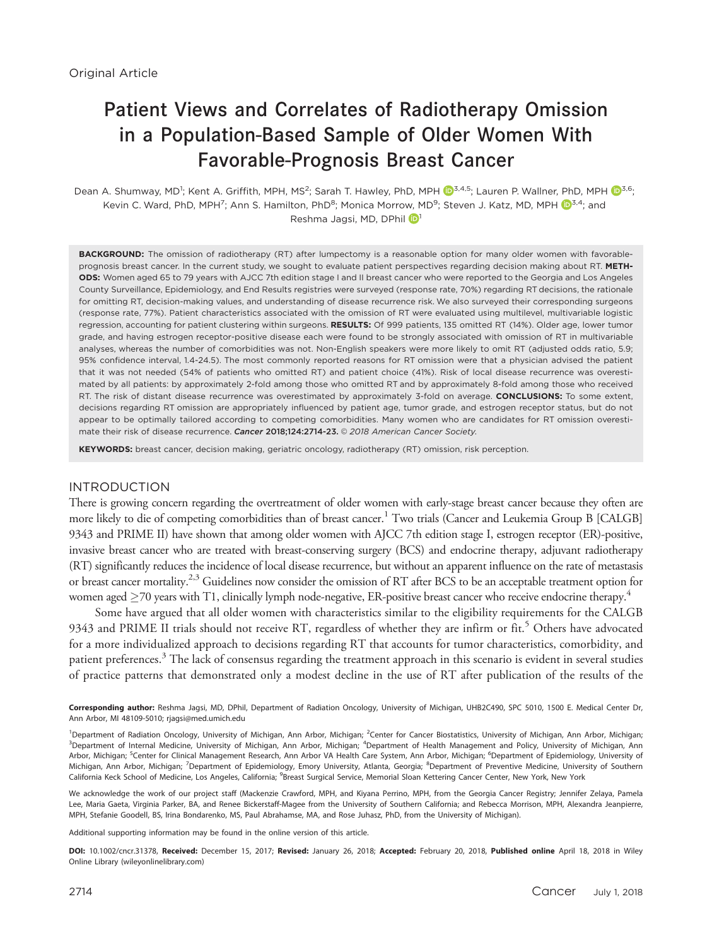# Patient Views and Correlates of Radiotherapy Omission in a Population-Based Sample of Older Women With Favorable-Prognosis Breast Cancer

Dean A. Shumway, MD<sup>1</sup>; Kent A. Griffith, MPH, MS<sup>2</sup>; Sarah T. Hawley, PhD, MPH  $\bigcirc^{3,4,5}$ ; Lauren P. Wallner, PhD, MPH  $\bigcirc^{3,6}$ ; Kevin C. Ward, PhD, MPH<sup>7</sup>; Ann S. Hamilton, PhD<sup>8</sup>; Monica Morrow, MD<sup>9</sup>; Steven J. Katz, MD, MPH (D3.4; and Reshma Jagsi, MD, DPhil <sup>[1](http://orcid.org/0000-0001-6562-1228)</sup>

BACKGROUND: The omission of radiotherapy (RT) after lumpectomy is a reasonable option for many older women with favorableprognosis breast cancer. In the current study, we sought to evaluate patient perspectives regarding decision making about RT. METH-ODS: Women aged 65 to 79 years with AJCC 7th edition stage I and II breast cancer who were reported to the Georgia and Los Angeles County Surveillance, Epidemiology, and End Results registries were surveyed (response rate, 70%) regarding RT decisions, the rationale for omitting RT, decision-making values, and understanding of disease recurrence risk. We also surveyed their corresponding surgeons (response rate, 77%). Patient characteristics associated with the omission of RT were evaluated using multilevel, multivariable logistic regression, accounting for patient clustering within surgeons. RESULTS: Of 999 patients, 135 omitted RT (14%). Older age, lower tumor grade, and having estrogen receptor-positive disease each were found to be strongly associated with omission of RT in multivariable analyses, whereas the number of comorbidities was not. Non-English speakers were more likely to omit RT (adjusted odds ratio, 5.9; 95% confidence interval, 1.4-24.5). The most commonly reported reasons for RT omission were that a physician advised the patient that it was not needed (54% of patients who omitted RT) and patient choice (41%). Risk of local disease recurrence was overestimated by all patients: by approximately 2-fold among those who omitted RT and by approximately 8-fold among those who received RT. The risk of distant disease recurrence was overestimated by approximately 3-fold on average. CONCLUSIONS: To some extent, decisions regarding RT omission are appropriately influenced by patient age, tumor grade, and estrogen receptor status, but do not appear to be optimally tailored according to competing comorbidities. Many women who are candidates for RT omission overestimate their risk of disease recurrence. Cancer 2018;124:2714-23. @ 2018 American Cancer Society.

KEYWORDS: breast cancer, decision making, geriatric oncology, radiotherapy (RT) omission, risk perception.

## INTRODUCTION

There is growing concern regarding the overtreatment of older women with early-stage breast cancer because they often are more likely to die of competing comorbidities than of breast cancer.<sup>1</sup> Two trials (Cancer and Leukemia Group B [CALGB] 9343 and PRIME II) have shown that among older women with AJCC 7th edition stage I, estrogen receptor (ER)-positive, invasive breast cancer who are treated with breast-conserving surgery (BCS) and endocrine therapy, adjuvant radiotherapy (RT) significantly reduces the incidence of local disease recurrence, but without an apparent influence on the rate of metastasis or breast cancer mortality.<sup>2,3</sup> Guidelines now consider the omission of RT after BCS to be an acceptable treatment option for women aged  $\geq$ 70 years with T1, clinically lymph node-negative, ER-positive breast cancer who receive endocrine therapy. $^4$ 

Some have argued that all older women with characteristics similar to the eligibility requirements for the CALGB 9343 and PRIME II trials should not receive RT, regardless of whether they are infirm or fit.<sup>5</sup> Others have advocated for a more individualized approach to decisions regarding RT that accounts for tumor characteristics, comorbidity, and patient preferences.<sup>3</sup> The lack of consensus regarding the treatment approach in this scenario is evident in several studies of practice patterns that demonstrated only a modest decline in the use of RT after publication of the results of the

Corresponding author: Reshma Jagsi, MD, DPhil, Department of Radiation Oncology, University of Michigan, UHB2C490, SPC 5010, 1500 E. Medical Center Dr, Ann Arbor, MI 48109-5010; rjagsi@med.umich.edu

<sup>1</sup>Department of Radiation Oncology, University of Michigan, Ann Arbor, Michigan; <sup>2</sup>Center for Cancer Biostatistics, University of Michigan, Ann Arbor, Michigan; <sup>3</sup>Department of Internal Medicine, University of Michigan, Ann Arbor, Michigan; <sup>4</sup>Department of Health Management and Policy, University of Michigan, Ann Arbor, Michigan; <sup>5</sup>Center for Clinical Management Research, Ann Arbor VA Health Care System, Ann Arbor, Michigan; <sup>6</sup>Department of Epidemiology, University of Michigan, Ann Arbor, Michigan; <sup>7</sup>Department of Epidemiology, Emory University, Atlanta, Georgia; <sup>8</sup>Department of Preventive Medicine, University of Southern California Keck School of Medicine, Los Angeles, California; <sup>9</sup>Breast Surgical Service, Memorial Sloan Kettering Cancer Center, New York, New York

We acknowledge the work of our project staff (Mackenzie Crawford, MPH, and Kiyana Perrino, MPH, from the Georgia Cancer Registry; Jennifer Zelaya, Pamela Lee, Maria Gaeta, Virginia Parker, BA, and Renee Bickerstaff-Magee from the University of Southern California; and Rebecca Morrison, MPH, Alexandra Jeanpierre, MPH, Stefanie Goodell, BS, Irina Bondarenko, MS, Paul Abrahamse, MA, and Rose Juhasz, PhD, from the University of Michigan).

Additional supporting information may be found in the online version of this article.

DOI: 10.1002/cncr.31378, Received: December 15, 2017; Revised: January 26, 2018; Accepted: February 20, 2018, Published online April 18, 2018 in Wiley Online Library (wileyonlinelibrary.com)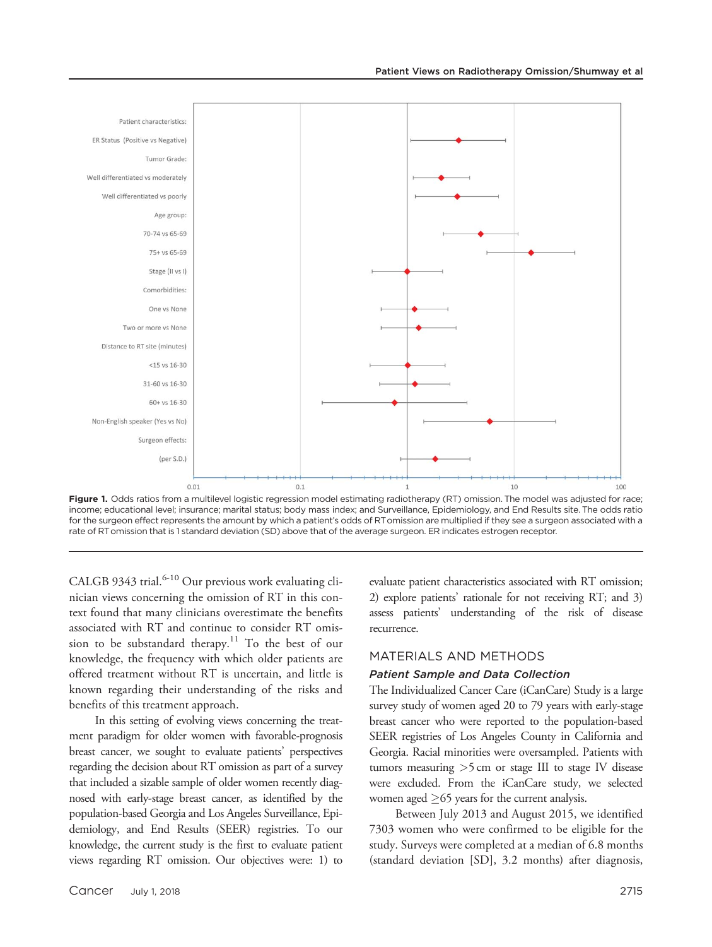

Figure 1. Odds ratios from a multilevel logistic regression model estimating radiotherapy (RT) omission. The model was adjusted for race; income; educational level; insurance; marital status; body mass index; and Surveillance, Epidemiology, and End Results site. The odds ratio for the surgeon effect represents the amount by which a patient's odds of RTomission are multiplied if they see a surgeon associated with a rate of RTomission that is 1 standard deviation (SD) above that of the average surgeon. ER indicates estrogen receptor.

CALGB 9343 trial.<sup>6-10</sup> Our previous work evaluating clinician views concerning the omission of RT in this context found that many clinicians overestimate the benefits associated with RT and continue to consider RT omission to be substandard therapy.<sup>11</sup> To the best of our knowledge, the frequency with which older patients are offered treatment without RT is uncertain, and little is known regarding their understanding of the risks and benefits of this treatment approach.

In this setting of evolving views concerning the treatment paradigm for older women with favorable-prognosis breast cancer, we sought to evaluate patients' perspectives regarding the decision about RT omission as part of a survey that included a sizable sample of older women recently diagnosed with early-stage breast cancer, as identified by the population-based Georgia and Los Angeles Surveillance, Epidemiology, and End Results (SEER) registries. To our knowledge, the current study is the first to evaluate patient views regarding RT omission. Our objectives were: 1) to

Cancer July 1, 2018 2715

evaluate patient characteristics associated with RT omission; 2) explore patients' rationale for not receiving RT; and 3) assess patients' understanding of the risk of disease recurrence.

#### MATERIALS AND METHODS

#### Patient Sample and Data Collection

The Individualized Cancer Care (iCanCare) Study is a large survey study of women aged 20 to 79 years with early-stage breast cancer who were reported to the population-based SEER registries of Los Angeles County in California and Georgia. Racial minorities were oversampled. Patients with tumors measuring >5 cm or stage III to stage IV disease were excluded. From the iCanCare study, we selected women aged  $\geq$  65 years for the current analysis.

Between July 2013 and August 2015, we identified 7303 women who were confirmed to be eligible for the study. Surveys were completed at a median of 6.8 months (standard deviation [SD], 3.2 months) after diagnosis,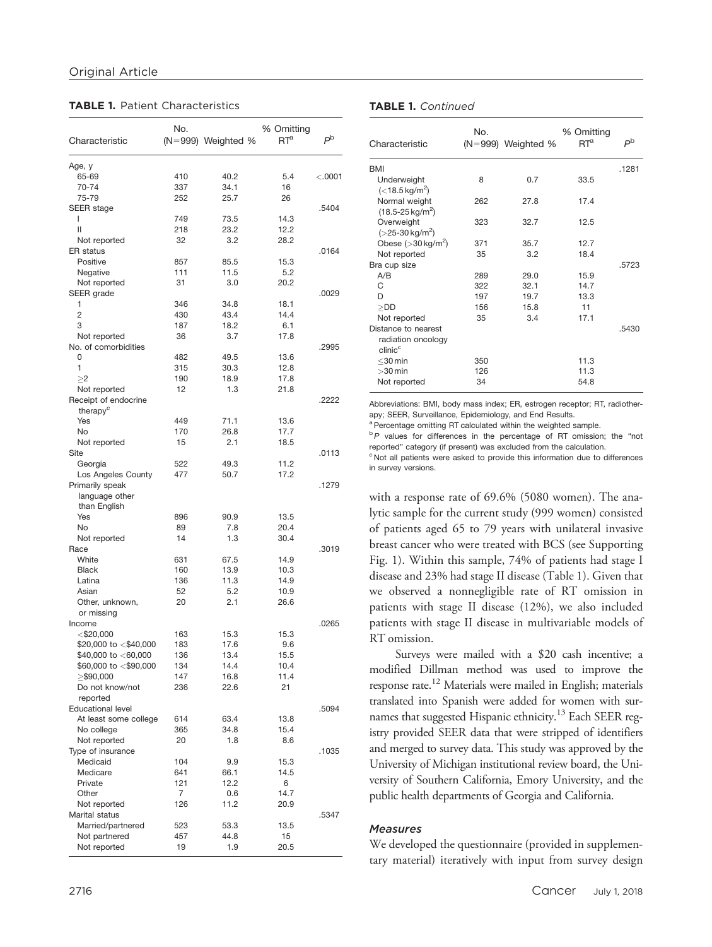| <b>TABLE 1. Patient Characteristics</b> |  |
|-----------------------------------------|--|
|-----------------------------------------|--|

| Characteristic                           | No.        | (N=999) Weighted % | % Omitting<br>$RT^a$ | P <sup>b</sup> |
|------------------------------------------|------------|--------------------|----------------------|----------------|
|                                          |            |                    |                      |                |
| Age, y<br>65-69                          | 410        | 40.2               | 5.4                  | $<$ .0001      |
| 70-74                                    | 337        | 34.1               | 16                   |                |
| 75-79                                    | 252        | 25.7               | 26                   |                |
| SEER stage                               |            |                    |                      | .5404          |
| ı                                        | 749        | 73.5               | 14.3                 |                |
| Ш                                        | 218<br>32  | 23.2<br>3.2        | 12.2<br>28.2         |                |
| Not reported<br>ER status                |            |                    |                      | .0164          |
| Positive                                 | 857        | 85.5               | 15.3                 |                |
| Negative                                 | 111        | 11.5               | 5.2                  |                |
| Not reported                             | 31         | 3.0                | 20.2                 |                |
| SEER grade                               |            |                    |                      | .0029          |
| 1                                        | 346        | 34.8               | 18.1                 |                |
| 2                                        | 430        | 43.4               | 14.4                 |                |
| 3                                        | 187<br>36  | 18.2<br>3.7        | 6.1<br>17.8          |                |
| Not reported<br>No. of comorbidities     |            |                    |                      | .2995          |
| 0                                        | 482        | 49.5               | 13.6                 |                |
| 1                                        | 315        | 30.3               | 12.8                 |                |
| >2                                       | 190        | 18.9               | 17.8                 |                |
| Not reported                             | 12         | 1.3                | 21.8                 |                |
| Receipt of endocrine                     |            |                    |                      | .2222          |
| therapy <sup>c</sup>                     |            |                    |                      |                |
| Yes                                      | 449        | 71.1               | 13.6                 |                |
| No                                       | 170<br>15  | 26.8<br>2.1        | 17.7<br>18.5         |                |
| Not reported<br>Site                     |            |                    |                      | .0113          |
| Georgia                                  | 522        | 49.3               | 11.2                 |                |
| Los Angeles County                       | 477        | 50.7               | 17.2                 |                |
| Primarily speak                          |            |                    |                      | .1279          |
| language other                           |            |                    |                      |                |
| than English                             |            |                    |                      |                |
| Yes                                      | 896        | 90.9               | 13.5                 |                |
| No                                       | 89         | 7.8                | 20.4                 |                |
| Not reported<br>Race                     | 14         | 1.3                | 30.4                 | .3019          |
| White                                    | 631        | 67.5               | 14.9                 |                |
| <b>Black</b>                             | 160        | 13.9               | 10.3                 |                |
| Latina                                   | 136        | 11.3               | 14.9                 |                |
| Asian                                    | 52         | 5.2                | 10.9                 |                |
| Other, unknown,                          | 20         | 2.1                | 26.6                 |                |
| or missing                               |            |                    |                      |                |
| Income                                   |            |                    |                      | .0265          |
| $<$ \$20,000<br>\$20,000 to $<$ \$40,000 | 163<br>183 | 15.3<br>17.6       | 15.3<br>9.6          |                |
| \$40,000 to $<$ 60,000                   | 136        | 13.4               | 15.5                 |                |
| $$60,000$ to $<$ \$90,000                | 134        | 14.4               | 10.4                 |                |
| $>$ \$90,000                             | 147        | 16.8               | 11.4                 |                |
| Do not know/not                          | 236        | 22.6               | 21                   |                |
| reported                                 |            |                    |                      |                |
| <b>Educational level</b>                 |            |                    |                      | .5094          |
| At least some college                    | 614        | 63.4<br>34.8       | 13.8<br>15.4         |                |
| No college<br>Not reported               | 365<br>20  | 1.8                | 8.6                  |                |
| Type of insurance                        |            |                    |                      | .1035          |
| Medicaid                                 | 104        | 9.9                | 15.3                 |                |
| Medicare                                 | 641        | 66.1               | 14.5                 |                |
| Private                                  | 121        | 12.2               | 6                    |                |
| Other                                    | 7          | 0.6                | 14.7                 |                |
| Not reported                             | 126        | 11.2               | 20.9                 |                |
| Marital status                           |            |                    |                      | .5347          |
| Married/partnered                        | 523<br>457 | 53.3<br>44.8       | 13.5<br>15           |                |
| Not partnered<br>Not reported            | 19         | 1.9                | 20.5                 |                |
|                                          |            |                    |                      |                |

#### TABLE 1. Continued

| Characteristic                                                   | No. | $(N=999)$ Weighted % | % Omitting<br>$RT^a$ | $P^{\rm b}$ |
|------------------------------------------------------------------|-----|----------------------|----------------------|-------------|
| <b>BMI</b>                                                       |     |                      |                      | .1281       |
| Underweight<br>$(<$ 18.5 kg/m <sup>2</sup> )                     | 8   | 0.7                  | 33.5                 |             |
| Normal weight<br>$(18.5 - 25 \text{ kg/m}^2)$                    | 262 | 27.8                 | 17.4                 |             |
| Overweight<br>$(>25-30 \text{ kg/m}^2)$                          | 323 | 32.7                 | 12.5                 |             |
| Obese $(>30 \,\mathrm{kg/m^2})$                                  | 371 | 35.7                 | 12.7                 |             |
| Not reported                                                     | 35  | 3.2                  | 18.4                 |             |
| Bra cup size                                                     |     |                      |                      | .5723       |
| A/B                                                              | 289 | 29.0                 | 15.9                 |             |
| C                                                                | 322 | 32.1                 | 14.7                 |             |
| D                                                                | 197 | 19.7                 | 13.3                 |             |
| $>$ DD                                                           | 156 | 15.8                 | 11                   |             |
| Not reported                                                     | 35  | 3.4                  | 17.1                 |             |
| Distance to nearest<br>radiation oncology<br>clinic <sup>c</sup> |     |                      |                      | .5430       |
| $<$ 30 min                                                       | 350 |                      | 11.3                 |             |
| $>30$ min                                                        | 126 |                      | 11.3                 |             |
| Not reported                                                     | 34  |                      | 54.8                 |             |

Abbreviations: BMI, body mass index; ER, estrogen receptor; RT, radiotherapy; SEER, Surveillance, Epidemiology, and End Results.

a Percentage omitting RT calculated within the weighted sample.

 $P$  values for differences in the percentage of RT omission; the "not reported" category (if present) was excluded from the calculation.

<sup>c</sup> Not all patients were asked to provide this information due to differences in survey versions.

with a response rate of 69.6% (5080 women). The analytic sample for the current study (999 women) consisted of patients aged 65 to 79 years with unilateral invasive breast cancer who were treated with BCS (see Supporting Fig. 1). Within this sample, 74% of patients had stage I disease and 23% had stage II disease (Table 1). Given that we observed a nonnegligible rate of RT omission in patients with stage II disease (12%), we also included patients with stage II disease in multivariable models of RT omission.

Surveys were mailed with a \$20 cash incentive; a modified Dillman method was used to improve the response rate.<sup>12</sup> Materials were mailed in English; materials translated into Spanish were added for women with surnames that suggested Hispanic ethnicity.<sup>13</sup> Each SEER registry provided SEER data that were stripped of identifiers and merged to survey data. This study was approved by the University of Michigan institutional review board, the University of Southern California, Emory University, and the public health departments of Georgia and California.

## Measures

We developed the questionnaire (provided in supplementary material) iteratively with input from survey design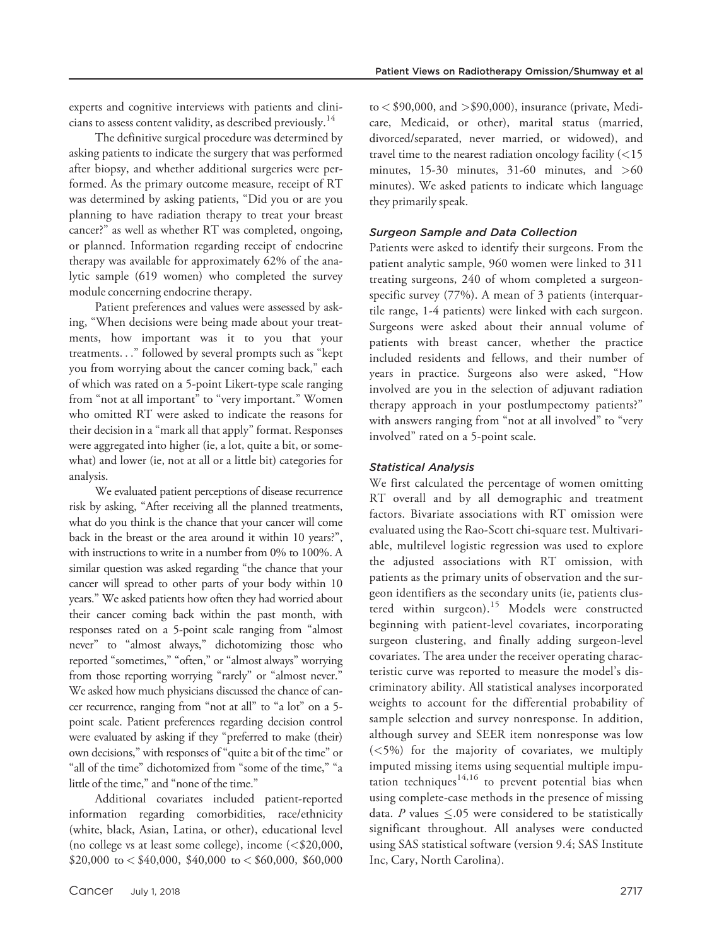experts and cognitive interviews with patients and clinicians to assess content validity, as described previously.14

The definitive surgical procedure was determined by asking patients to indicate the surgery that was performed after biopsy, and whether additional surgeries were performed. As the primary outcome measure, receipt of RT was determined by asking patients, "Did you or are you planning to have radiation therapy to treat your breast cancer?" as well as whether RT was completed, ongoing, or planned. Information regarding receipt of endocrine therapy was available for approximately 62% of the analytic sample (619 women) who completed the survey module concerning endocrine therapy.

Patient preferences and values were assessed by asking, "When decisions were being made about your treatments, how important was it to you that your treatments..." followed by several prompts such as "kept you from worrying about the cancer coming back," each of which was rated on a 5-point Likert-type scale ranging from "not at all important" to "very important." Women who omitted RT were asked to indicate the reasons for their decision in a "mark all that apply" format. Responses were aggregated into higher (ie, a lot, quite a bit, or somewhat) and lower (ie, not at all or a little bit) categories for analysis.

We evaluated patient perceptions of disease recurrence risk by asking, "After receiving all the planned treatments, what do you think is the chance that your cancer will come back in the breast or the area around it within 10 years?", with instructions to write in a number from 0% to 100%. A similar question was asked regarding "the chance that your cancer will spread to other parts of your body within 10 years." We asked patients how often they had worried about their cancer coming back within the past month, with responses rated on a 5-point scale ranging from "almost never" to "almost always," dichotomizing those who reported "sometimes," "often," or "almost always" worrying from those reporting worrying "rarely" or "almost never." We asked how much physicians discussed the chance of cancer recurrence, ranging from "not at all" to "a lot" on a 5 point scale. Patient preferences regarding decision control were evaluated by asking if they "preferred to make (their) own decisions," with responses of "quite a bit of the time" or "all of the time" dichotomized from "some of the time," "a little of the time," and "none of the time."

Additional covariates included patient-reported information regarding comorbidities, race/ethnicity (white, black, Asian, Latina, or other), educational level (no college vs at least some college), income (<\$20,000,  $$20,000 \text{ to } < $40,000, $40,000 \text{ to } < $60,000, $60,000$  to  $\langle$  \$90,000, and  $\rangle$ \$90,000), insurance (private, Medicare, Medicaid, or other), marital status (married, divorced/separated, never married, or widowed), and travel time to the nearest radiation oncology facility  $(< 15$ minutes, 15-30 minutes, 31-60 minutes, and  $>60$ minutes). We asked patients to indicate which language they primarily speak.

### Surgeon Sample and Data Collection

Patients were asked to identify their surgeons. From the patient analytic sample, 960 women were linked to 311 treating surgeons, 240 of whom completed a surgeonspecific survey (77%). A mean of 3 patients (interquartile range, 1-4 patients) were linked with each surgeon. Surgeons were asked about their annual volume of patients with breast cancer, whether the practice included residents and fellows, and their number of years in practice. Surgeons also were asked, "How involved are you in the selection of adjuvant radiation therapy approach in your postlumpectomy patients?" with answers ranging from "not at all involved" to "very involved" rated on a 5-point scale.

#### Statistical Analysis

We first calculated the percentage of women omitting RT overall and by all demographic and treatment factors. Bivariate associations with RT omission were evaluated using the Rao-Scott chi-square test. Multivariable, multilevel logistic regression was used to explore the adjusted associations with RT omission, with patients as the primary units of observation and the surgeon identifiers as the secondary units (ie, patients clustered within surgeon).<sup>15</sup> Models were constructed beginning with patient-level covariates, incorporating surgeon clustering, and finally adding surgeon-level covariates. The area under the receiver operating characteristic curve was reported to measure the model's discriminatory ability. All statistical analyses incorporated weights to account for the differential probability of sample selection and survey nonresponse. In addition, although survey and SEER item nonresponse was low  $(<5%)$  for the majority of covariates, we multiply imputed missing items using sequential multiple imputation techniques<sup>14,16</sup> to prevent potential bias when using complete-case methods in the presence of missing data. P values  $\leq 0.05$  were considered to be statistically significant throughout. All analyses were conducted using SAS statistical software (version 9.4; SAS Institute Inc, Cary, North Carolina).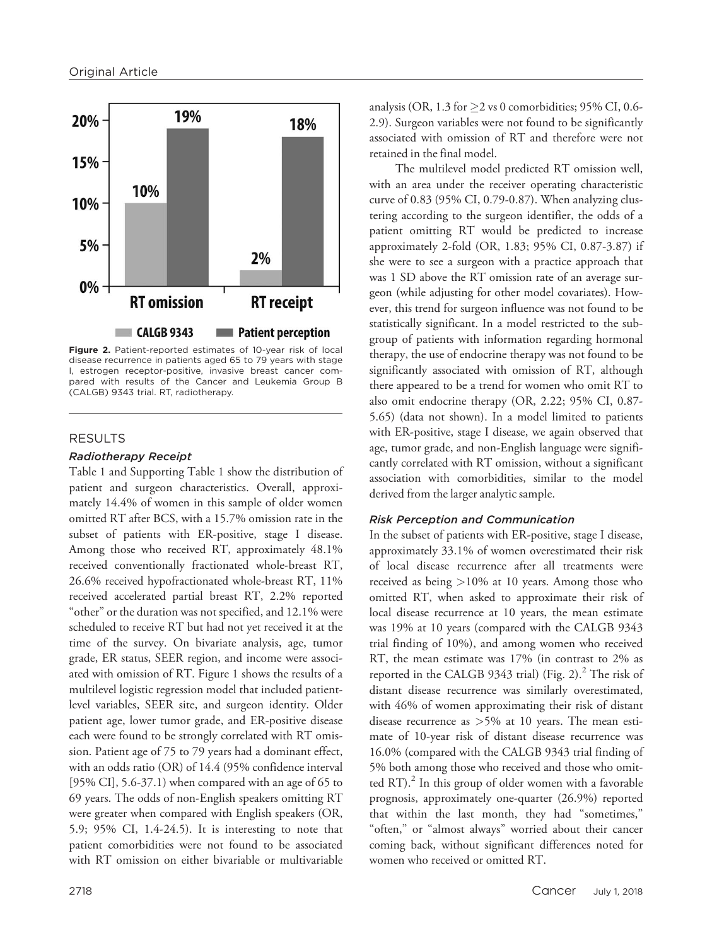

Figure 2. Patient-reported estimates of 10-year risk of local disease recurrence in patients aged 65 to 79 years with stage I, estrogen receptor-positive, invasive breast cancer compared with results of the Cancer and Leukemia Group B (CALGB) 9343 trial. RT, radiotherapy.

#### RESULTS

#### Radiotherapy Receipt

Table 1 and Supporting Table 1 show the distribution of patient and surgeon characteristics. Overall, approximately 14.4% of women in this sample of older women omitted RT after BCS, with a 15.7% omission rate in the subset of patients with ER-positive, stage I disease. Among those who received RT, approximately 48.1% received conventionally fractionated whole-breast RT, 26.6% received hypofractionated whole-breast RT, 11% received accelerated partial breast RT, 2.2% reported "other" or the duration was not specified, and 12.1% were scheduled to receive RT but had not yet received it at the time of the survey. On bivariate analysis, age, tumor grade, ER status, SEER region, and income were associated with omission of RT. Figure 1 shows the results of a multilevel logistic regression model that included patientlevel variables, SEER site, and surgeon identity. Older patient age, lower tumor grade, and ER-positive disease each were found to be strongly correlated with RT omission. Patient age of 75 to 79 years had a dominant effect, with an odds ratio (OR) of 14.4 (95% confidence interval [95% CI], 5.6-37.1) when compared with an age of 65 to 69 years. The odds of non-English speakers omitting RT were greater when compared with English speakers (OR, 5.9; 95% CI, 1.4-24.5). It is interesting to note that patient comorbidities were not found to be associated with RT omission on either bivariable or multivariable

analysis (OR, 1.3 for  $\geq$  2 vs 0 comorbidities; 95% CI, 0.6-2.9). Surgeon variables were not found to be significantly associated with omission of RT and therefore were not retained in the final model.

The multilevel model predicted RT omission well, with an area under the receiver operating characteristic curve of 0.83 (95% CI, 0.79-0.87). When analyzing clustering according to the surgeon identifier, the odds of a patient omitting RT would be predicted to increase approximately 2-fold (OR, 1.83; 95% CI, 0.87-3.87) if she were to see a surgeon with a practice approach that was 1 SD above the RT omission rate of an average surgeon (while adjusting for other model covariates). However, this trend for surgeon influence was not found to be statistically significant. In a model restricted to the subgroup of patients with information regarding hormonal therapy, the use of endocrine therapy was not found to be significantly associated with omission of RT, although there appeared to be a trend for women who omit RT to also omit endocrine therapy (OR, 2.22; 95% CI, 0.87- 5.65) (data not shown). In a model limited to patients with ER-positive, stage I disease, we again observed that age, tumor grade, and non-English language were significantly correlated with RT omission, without a significant association with comorbidities, similar to the model derived from the larger analytic sample.

## Risk Perception and Communication

In the subset of patients with ER-positive, stage I disease, approximately 33.1% of women overestimated their risk of local disease recurrence after all treatments were received as being >10% at 10 years. Among those who omitted RT, when asked to approximate their risk of local disease recurrence at 10 years, the mean estimate was 19% at 10 years (compared with the CALGB 9343 trial finding of 10%), and among women who received RT, the mean estimate was 17% (in contrast to 2% as reported in the CALGB 9343 trial) (Fig. 2). $^2$  The risk of distant disease recurrence was similarly overestimated, with 46% of women approximating their risk of distant disease recurrence as  $>5\%$  at 10 years. The mean estimate of 10-year risk of distant disease recurrence was 16.0% (compared with the CALGB 9343 trial finding of 5% both among those who received and those who omitted  $RT$ ).<sup>2</sup> In this group of older women with a favorable prognosis, approximately one-quarter (26.9%) reported that within the last month, they had "sometimes," "often," or "almost always" worried about their cancer coming back, without significant differences noted for women who received or omitted RT.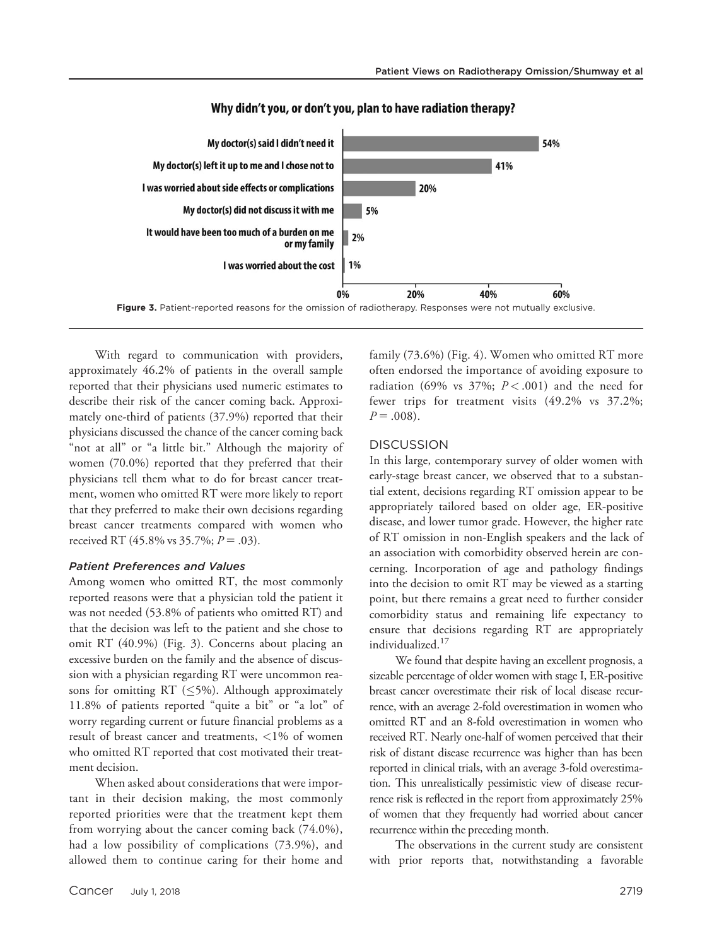

## Why didn't you, or don't you, plan to have radiation therapy?

Figure 3. Patient-reported reasons for the omission of radiotherapy. Responses were not mutually exclusive.

With regard to communication with providers, approximately 46.2% of patients in the overall sample reported that their physicians used numeric estimates to describe their risk of the cancer coming back. Approximately one-third of patients (37.9%) reported that their physicians discussed the chance of the cancer coming back "not at all" or "a little bit." Although the majority of women (70.0%) reported that they preferred that their physicians tell them what to do for breast cancer treatment, women who omitted RT were more likely to report that they preferred to make their own decisions regarding breast cancer treatments compared with women who received RT (45.8% vs 35.7%;  $P = .03$ ).

### Patient Preferences and Values

Among women who omitted RT, the most commonly reported reasons were that a physician told the patient it was not needed (53.8% of patients who omitted RT) and that the decision was left to the patient and she chose to omit RT (40.9%) (Fig. 3). Concerns about placing an excessive burden on the family and the absence of discussion with a physician regarding RT were uncommon reasons for omitting RT ( $\leq$ 5%). Although approximately 11.8% of patients reported "quite a bit" or "a lot" of worry regarding current or future financial problems as a result of breast cancer and treatments, <1% of women who omitted RT reported that cost motivated their treatment decision.

When asked about considerations that were important in their decision making, the most commonly reported priorities were that the treatment kept them from worrying about the cancer coming back (74.0%), had a low possibility of complications (73.9%), and allowed them to continue caring for their home and family (73.6%) (Fig. 4). Women who omitted RT more often endorsed the importance of avoiding exposure to radiation (69% vs  $37\%$ ;  $P < .001$ ) and the need for fewer trips for treatment visits (49.2% vs 37.2%;  $P = .008$ .

#### **DISCUSSION**

In this large, contemporary survey of older women with early-stage breast cancer, we observed that to a substantial extent, decisions regarding RT omission appear to be appropriately tailored based on older age, ER-positive disease, and lower tumor grade. However, the higher rate of RT omission in non-English speakers and the lack of an association with comorbidity observed herein are concerning. Incorporation of age and pathology findings into the decision to omit RT may be viewed as a starting point, but there remains a great need to further consider comorbidity status and remaining life expectancy to ensure that decisions regarding RT are appropriately individualized.<sup>17</sup>

We found that despite having an excellent prognosis, a sizeable percentage of older women with stage I, ER-positive breast cancer overestimate their risk of local disease recurrence, with an average 2-fold overestimation in women who omitted RT and an 8-fold overestimation in women who received RT. Nearly one-half of women perceived that their risk of distant disease recurrence was higher than has been reported in clinical trials, with an average 3-fold overestimation. This unrealistically pessimistic view of disease recurrence risk is reflected in the report from approximately 25% of women that they frequently had worried about cancer recurrence within the preceding month.

The observations in the current study are consistent with prior reports that, notwithstanding a favorable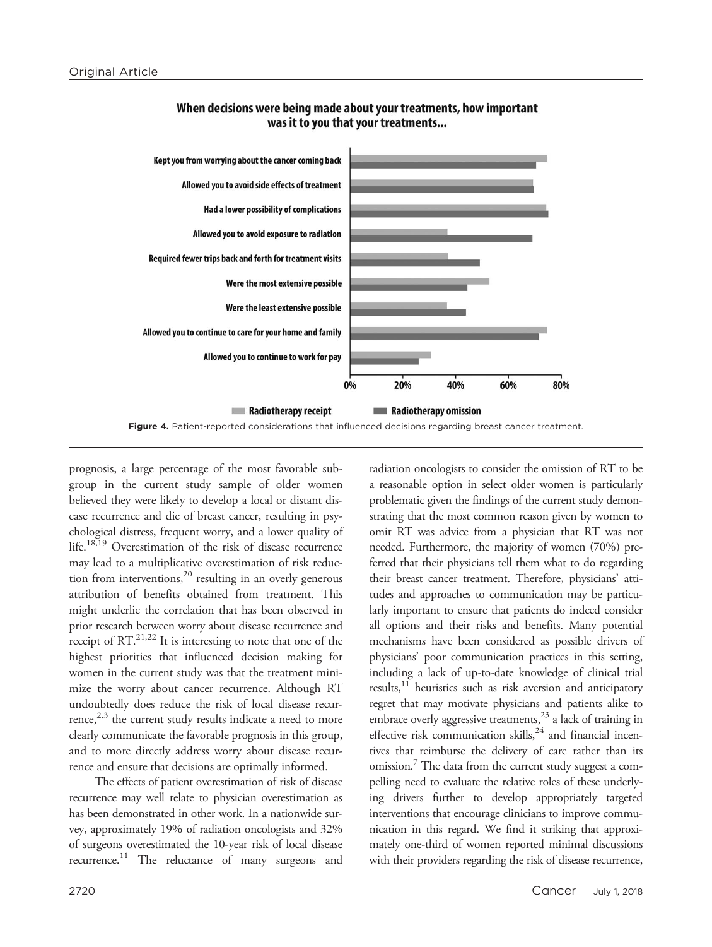

## When decisions were being made about your treatments, how important was it to you that your treatments...

prognosis, a large percentage of the most favorable subgroup in the current study sample of older women believed they were likely to develop a local or distant disease recurrence and die of breast cancer, resulting in psychological distress, frequent worry, and a lower quality of life.<sup>18,19</sup> Overestimation of the risk of disease recurrence may lead to a multiplicative overestimation of risk reduction from interventions,<sup>20</sup> resulting in an overly generous attribution of benefits obtained from treatment. This might underlie the correlation that has been observed in prior research between worry about disease recurrence and receipt of  $RT^{21,22}$  It is interesting to note that one of the highest priorities that influenced decision making for women in the current study was that the treatment minimize the worry about cancer recurrence. Although RT undoubtedly does reduce the risk of local disease recurrence, $^{2,3}$  the current study results indicate a need to more clearly communicate the favorable prognosis in this group, and to more directly address worry about disease recurrence and ensure that decisions are optimally informed.

The effects of patient overestimation of risk of disease recurrence may well relate to physician overestimation as has been demonstrated in other work. In a nationwide survey, approximately 19% of radiation oncologists and 32% of surgeons overestimated the 10-year risk of local disease recurrence.<sup>11</sup> The reluctance of many surgeons and

radiation oncologists to consider the omission of RT to be a reasonable option in select older women is particularly problematic given the findings of the current study demonstrating that the most common reason given by women to omit RT was advice from a physician that RT was not needed. Furthermore, the majority of women (70%) preferred that their physicians tell them what to do regarding their breast cancer treatment. Therefore, physicians' attitudes and approaches to communication may be particularly important to ensure that patients do indeed consider all options and their risks and benefits. Many potential mechanisms have been considered as possible drivers of physicians' poor communication practices in this setting, including a lack of up-to-date knowledge of clinical trial results,<sup>11</sup> heuristics such as risk aversion and anticipatory regret that may motivate physicians and patients alike to embrace overly aggressive treatments,  $23$  a lack of training in effective risk communication skills, $^{24}$  and financial incentives that reimburse the delivery of care rather than its omission.7 The data from the current study suggest a compelling need to evaluate the relative roles of these underlying drivers further to develop appropriately targeted interventions that encourage clinicians to improve communication in this regard. We find it striking that approximately one-third of women reported minimal discussions with their providers regarding the risk of disease recurrence,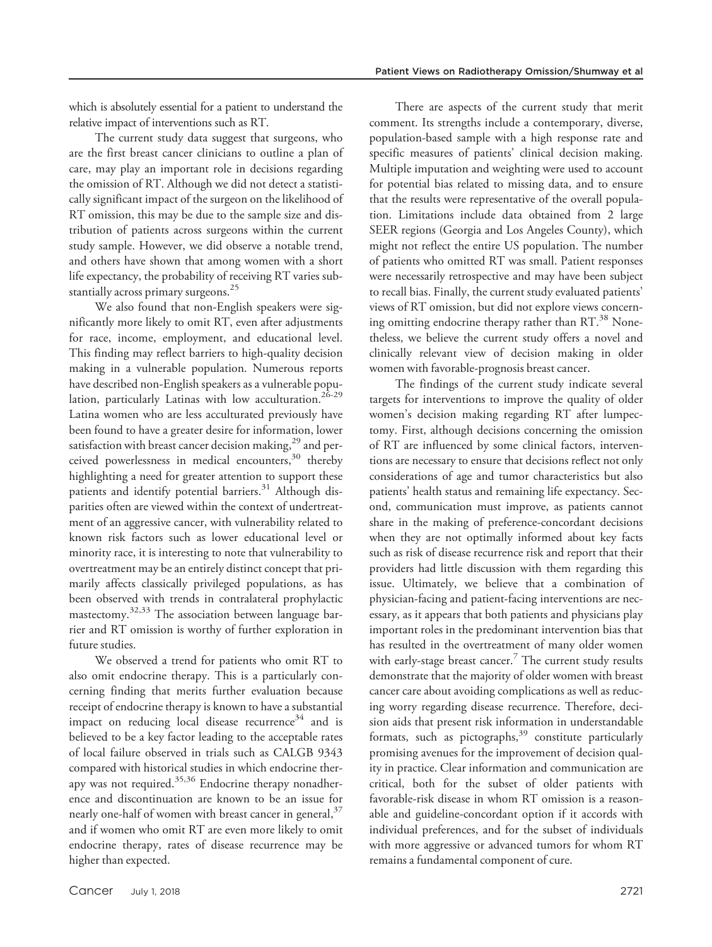which is absolutely essential for a patient to understand the relative impact of interventions such as RT.

The current study data suggest that surgeons, who are the first breast cancer clinicians to outline a plan of care, may play an important role in decisions regarding the omission of RT. Although we did not detect a statistically significant impact of the surgeon on the likelihood of RT omission, this may be due to the sample size and distribution of patients across surgeons within the current study sample. However, we did observe a notable trend, and others have shown that among women with a short life expectancy, the probability of receiving RT varies substantially across primary surgeons.<sup>25</sup>

We also found that non-English speakers were significantly more likely to omit RT, even after adjustments for race, income, employment, and educational level. This finding may reflect barriers to high-quality decision making in a vulnerable population. Numerous reports have described non-English speakers as a vulnerable population, particularly Latinas with low acculturation.<sup>26-29</sup> Latina women who are less acculturated previously have been found to have a greater desire for information, lower satisfaction with breast cancer decision making, $29$  and perceived powerlessness in medical encounters, $30$  thereby highlighting a need for greater attention to support these patients and identify potential barriers. $31$  Although disparities often are viewed within the context of undertreatment of an aggressive cancer, with vulnerability related to known risk factors such as lower educational level or minority race, it is interesting to note that vulnerability to overtreatment may be an entirely distinct concept that primarily affects classically privileged populations, as has been observed with trends in contralateral prophylactic mastectomy.<sup>32,33</sup> The association between language barrier and RT omission is worthy of further exploration in future studies.

We observed a trend for patients who omit RT to also omit endocrine therapy. This is a particularly concerning finding that merits further evaluation because receipt of endocrine therapy is known to have a substantial impact on reducing local disease recurrence $34$  and is believed to be a key factor leading to the acceptable rates of local failure observed in trials such as CALGB 9343 compared with historical studies in which endocrine therapy was not required. $35,36$  Endocrine therapy nonadherence and discontinuation are known to be an issue for nearly one-half of women with breast cancer in general,  $37$ and if women who omit RT are even more likely to omit endocrine therapy, rates of disease recurrence may be higher than expected.

There are aspects of the current study that merit comment. Its strengths include a contemporary, diverse, population-based sample with a high response rate and specific measures of patients' clinical decision making. Multiple imputation and weighting were used to account for potential bias related to missing data, and to ensure that the results were representative of the overall population. Limitations include data obtained from 2 large SEER regions (Georgia and Los Angeles County), which might not reflect the entire US population. The number of patients who omitted RT was small. Patient responses were necessarily retrospective and may have been subject to recall bias. Finally, the current study evaluated patients' views of RT omission, but did not explore views concerning omitting endocrine therapy rather than RT.<sup>38</sup> Nonetheless, we believe the current study offers a novel and clinically relevant view of decision making in older women with favorable-prognosis breast cancer.

The findings of the current study indicate several targets for interventions to improve the quality of older women's decision making regarding RT after lumpectomy. First, although decisions concerning the omission of RT are influenced by some clinical factors, interventions are necessary to ensure that decisions reflect not only considerations of age and tumor characteristics but also patients' health status and remaining life expectancy. Second, communication must improve, as patients cannot share in the making of preference-concordant decisions when they are not optimally informed about key facts such as risk of disease recurrence risk and report that their providers had little discussion with them regarding this issue. Ultimately, we believe that a combination of physician-facing and patient-facing interventions are necessary, as it appears that both patients and physicians play important roles in the predominant intervention bias that has resulted in the overtreatment of many older women with early-stage breast cancer.<sup>7</sup> The current study results demonstrate that the majority of older women with breast cancer care about avoiding complications as well as reducing worry regarding disease recurrence. Therefore, decision aids that present risk information in understandable formats, such as pictographs,<sup>39</sup> constitute particularly promising avenues for the improvement of decision quality in practice. Clear information and communication are critical, both for the subset of older patients with favorable-risk disease in whom RT omission is a reasonable and guideline-concordant option if it accords with individual preferences, and for the subset of individuals with more aggressive or advanced tumors for whom RT remains a fundamental component of cure.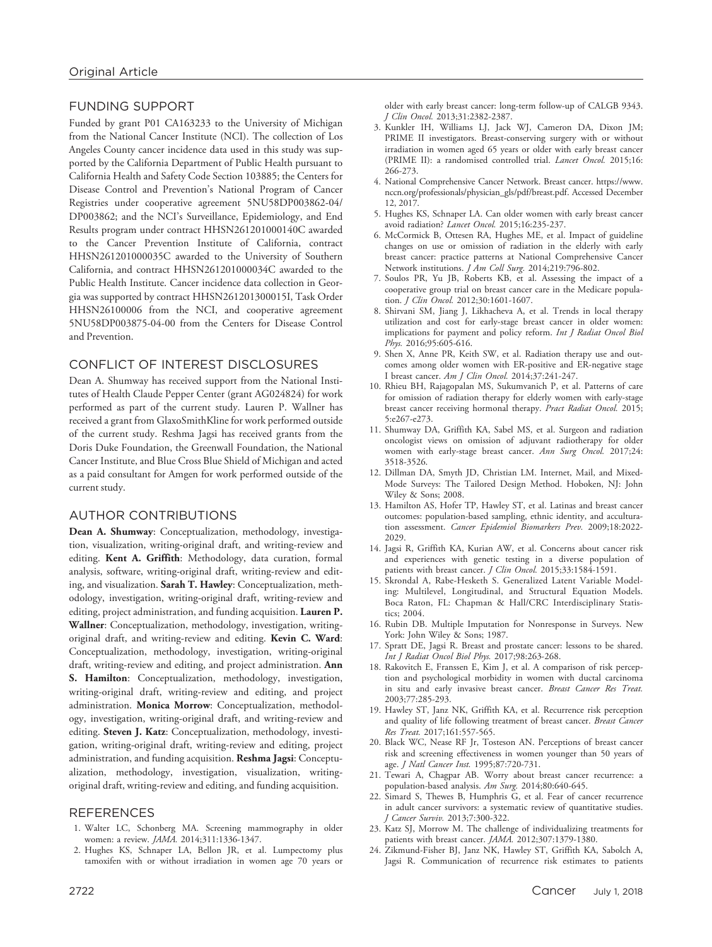## FUNDING SUPPORT

Funded by grant P01 CA163233 to the University of Michigan from the National Cancer Institute (NCI). The collection of Los Angeles County cancer incidence data used in this study was supported by the California Department of Public Health pursuant to California Health and Safety Code Section 103885; the Centers for Disease Control and Prevention's National Program of Cancer Registries under cooperative agreement 5NU58DP003862-04/ DP003862; and the NCI's Surveillance, Epidemiology, and End Results program under contract HHSN261201000140C awarded to the Cancer Prevention Institute of California, contract HHSN261201000035C awarded to the University of Southern California, and contract HHSN261201000034C awarded to the Public Health Institute. Cancer incidence data collection in Georgia was supported by contract HHSN261201300015I, Task Order HHSN26100006 from the NCI, and cooperative agreement 5NU58DP003875-04-00 from the Centers for Disease Control and Prevention.

## CONFLICT OF INTEREST DISCLOSURES

Dean A. Shumway has received support from the National Institutes of Health Claude Pepper Center (grant AG024824) for work performed as part of the current study. Lauren P. Wallner has received a grant from GlaxoSmithKline for work performed outside of the current study. Reshma Jagsi has received grants from the Doris Duke Foundation, the Greenwall Foundation, the National Cancer Institute, and Blue Cross Blue Shield of Michigan and acted as a paid consultant for Amgen for work performed outside of the current study.

## AUTHOR CONTRIBUTIONS

Dean A. Shumway: Conceptualization, methodology, investigation, visualization, writing-original draft, and writing-review and editing. Kent A. Griffith: Methodology, data curation, formal analysis, software, writing-original draft, writing-review and editing, and visualization. Sarah T. Hawley: Conceptualization, methodology, investigation, writing-original draft, writing-review and editing, project administration, and funding acquisition. Lauren P. Wallner: Conceptualization, methodology, investigation, writingoriginal draft, and writing-review and editing. Kevin C. Ward: Conceptualization, methodology, investigation, writing-original draft, writing-review and editing, and project administration. Ann S. Hamilton: Conceptualization, methodology, investigation, writing-original draft, writing-review and editing, and project administration. Monica Morrow: Conceptualization, methodology, investigation, writing-original draft, and writing-review and editing. Steven J. Katz: Conceptualization, methodology, investigation, writing-original draft, writing-review and editing, project administration, and funding acquisition. Reshma Jagsi: Conceptualization, methodology, investigation, visualization, writingoriginal draft, writing-review and editing, and funding acquisition.

#### REFERENCES

- 1. Walter LC, Schonberg MA. Screening mammography in older women: a review. JAMA. 2014;311:1336-1347.
- 2. Hughes KS, Schnaper LA, Bellon JR, et al. Lumpectomy plus tamoxifen with or without irradiation in women age 70 years or

older with early breast cancer: long-term follow-up of CALGB 9343. J Clin Oncol. 2013;31:2382-2387.

- 3. Kunkler IH, Williams LJ, Jack WJ, Cameron DA, Dixon JM; PRIME II investigators. Breast-conserving surgery with or without irradiation in women aged 65 years or older with early breast cancer (PRIME II): a randomised controlled trial. Lancet Oncol. 2015;16: 266-273.
- 4. National Comprehensive Cancer Network. Breast cancer. [https://www.](https://www.nccn.org/professionals/physician_gls/pdf/breast.pdf) [nccn.org/professionals/physician\\_gls/pdf/breast.pdf](https://www.nccn.org/professionals/physician_gls/pdf/breast.pdf). Accessed December 12, 2017.
- 5. Hughes KS, Schnaper LA. Can older women with early breast cancer avoid radiation? Lancet Oncol. 2015;16:235-237.
- 6. McCormick B, Ottesen RA, Hughes ME, et al. Impact of guideline changes on use or omission of radiation in the elderly with early breast cancer: practice patterns at National Comprehensive Cancer Network institutions. *J Am Coll Surg.* 2014;219:796-802.
- 7. Soulos PR, Yu JB, Roberts KB, et al. Assessing the impact of a cooperative group trial on breast cancer care in the Medicare population. J Clin Oncol. 2012;30:1601-1607.
- 8. Shirvani SM, Jiang J, Likhacheva A, et al. Trends in local therapy utilization and cost for early-stage breast cancer in older women: implications for payment and policy reform. Int J Radiat Oncol Biol Phys. 2016;95:605-616.
- 9. Shen X, Anne PR, Keith SW, et al. Radiation therapy use and outcomes among older women with ER-positive and ER-negative stage I breast cancer. Am J Clin Oncol. 2014;37:241-247.
- 10. Rhieu BH, Rajagopalan MS, Sukumvanich P, et al. Patterns of care for omission of radiation therapy for elderly women with early-stage breast cancer receiving hormonal therapy. Pract Radiat Oncol. 2015; 5:e267-e273.
- 11. Shumway DA, Griffith KA, Sabel MS, et al. Surgeon and radiation oncologist views on omission of adjuvant radiotherapy for older women with early-stage breast cancer. Ann Surg Oncol. 2017;24: 3518-3526.
- 12. Dillman DA, Smyth JD, Christian LM. Internet, Mail, and Mixed-Mode Surveys: The Tailored Design Method. Hoboken, NJ: John Wiley & Sons; 2008.
- 13. Hamilton AS, Hofer TP, Hawley ST, et al. Latinas and breast cancer outcomes: population-based sampling, ethnic identity, and acculturation assessment. Cancer Epidemiol Biomarkers Prev. 2009;18:2022- 2029.
- 14. Jagsi R, Griffith KA, Kurian AW, et al. Concerns about cancer risk and experiences with genetic testing in a diverse population of patients with breast cancer. J Clin Oncol. 2015;33:1584-1591.
- 15. Skrondal A, Rabe-Hesketh S. Generalized Latent Variable Modeling: Multilevel, Longitudinal, and Structural Equation Models. Boca Raton, FL: Chapman & Hall/CRC Interdisciplinary Statistics; 2004.
- 16. Rubin DB. Multiple Imputation for Nonresponse in Surveys. New York: John Wiley & Sons; 1987.
- 17. Spratt DE, Jagsi R. Breast and prostate cancer: lessons to be shared. Int J Radiat Oncol Biol Phys. 2017;98:263-268.
- 18. Rakovitch E, Franssen E, Kim J, et al. A comparison of risk perception and psychological morbidity in women with ductal carcinoma in situ and early invasive breast cancer. Breast Cancer Res Treat. 2003;77:285-293.
- 19. Hawley ST, Janz NK, Griffith KA, et al. Recurrence risk perception and quality of life following treatment of breast cancer. Breast Cancer Res Treat. 2017;161:557-565.
- 20. Black WC, Nease RF Jr, Tosteson AN. Perceptions of breast cancer risk and screening effectiveness in women younger than 50 years of age. *J Natl Cancer Inst.* 1995;87:720-731.
- 21. Tewari A, Chagpar AB. Worry about breast cancer recurrence: a population-based analysis. Am Surg. 2014;80:640-645.
- 22. Simard S, Thewes B, Humphris G, et al. Fear of cancer recurrence in adult cancer survivors: a systematic review of quantitative studies. J Cancer Surviv. 2013;7:300-322.
- 23. Katz SJ, Morrow M. The challenge of individualizing treatments for patients with breast cancer. *JAMA*. 2012;307:1379-1380.
- 24. Zikmund-Fisher BJ, Janz NK, Hawley ST, Griffith KA, Sabolch A, Jagsi R. Communication of recurrence risk estimates to patients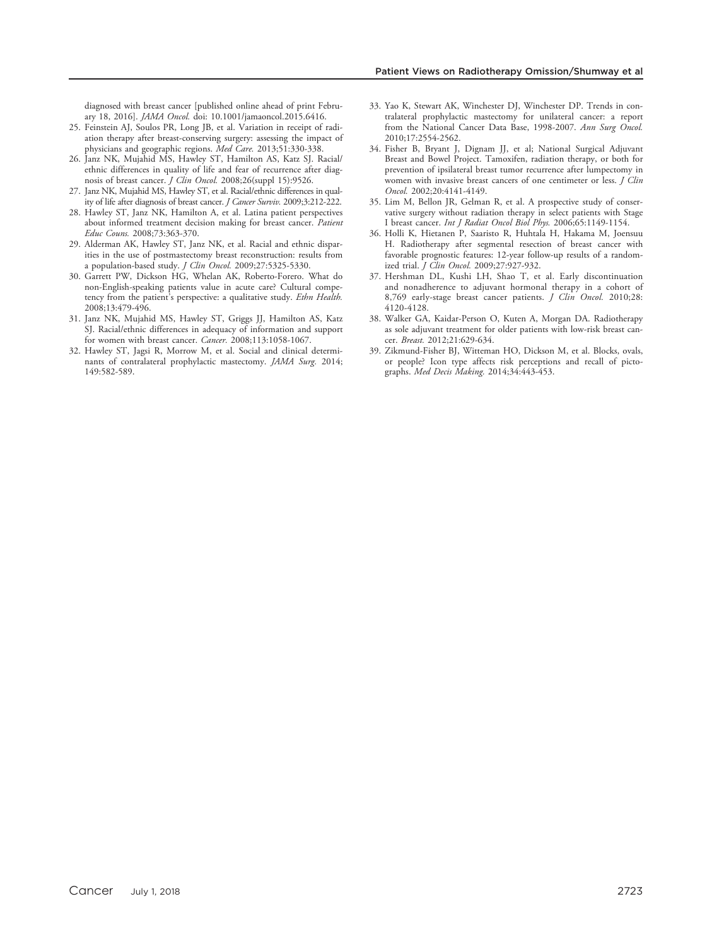diagnosed with breast cancer [published online ahead of print February 18, 2016]. JAMA Oncol. doi: [10.1001/jamaoncol.2015.6416.](info:doi/10.1001/jamaoncol.2015.6416)

- 25. Feinstein AJ, Soulos PR, Long JB, et al. Variation in receipt of radiation therapy after breast-conserving surgery: assessing the impact of physicians and geographic regions. Med Care. 2013;51:330-338.
- 26. Janz NK, Mujahid MS, Hawley ST, Hamilton AS, Katz SJ. Racial/ ethnic differences in quality of life and fear of recurrence after diagnosis of breast cancer. J Clin Oncol. 2008;26(suppl 15):9526.
- 27. Janz NK, Mujahid MS, Hawley ST, et al. Racial/ethnic differences in quality of life after diagnosis of breast cancer. J Cancer Surviv. 2009;3:212-222.
- 28. Hawley ST, Janz NK, Hamilton A, et al. Latina patient perspectives about informed treatment decision making for breast cancer. Patient Educ Couns. 2008;73:363-370.
- 29. Alderman AK, Hawley ST, Janz NK, et al. Racial and ethnic disparities in the use of postmastectomy breast reconstruction: results from a population-based study. *J Clin Oncol.* 2009;27:5325-5330.
- 30. Garrett PW, Dickson HG, Whelan AK, Roberto-Forero. What do non-English-speaking patients value in acute care? Cultural competency from the patient's perspective: a qualitative study. Ethn Health. 2008;13:479-496.
- 31. Janz NK, Mujahid MS, Hawley ST, Griggs JJ, Hamilton AS, Katz SJ. Racial/ethnic differences in adequacy of information and support for women with breast cancer. Cancer. 2008;113:1058-1067.
- 32. Hawley ST, Jagsi R, Morrow M, et al. Social and clinical determinants of contralateral prophylactic mastectomy. JAMA Surg. 2014; 149:582-589.
- 33. Yao K, Stewart AK, Winchester DJ, Winchester DP. Trends in contralateral prophylactic mastectomy for unilateral cancer: a report from the National Cancer Data Base, 1998-2007. Ann Surg Oncol. 2010;17:2554-2562.
- 34. Fisher B, Bryant J, Dignam JJ, et al; National Surgical Adjuvant Breast and Bowel Project. Tamoxifen, radiation therapy, or both for prevention of ipsilateral breast tumor recurrence after lumpectomy in women with invasive breast cancers of one centimeter or less.  $\int$  Clin Oncol. 2002;20:4141-4149.
- 35. Lim M, Bellon JR, Gelman R, et al. A prospective study of conservative surgery without radiation therapy in select patients with Stage I breast cancer. Int J Radiat Oncol Biol Phys. 2006;65:1149-1154.
- 36. Holli K, Hietanen P, Saaristo R, Huhtala H, Hakama M, Joensuu H. Radiotherapy after segmental resection of breast cancer with favorable prognostic features: 12-year follow-up results of a randomized trial. *J Clin Oncol.* 2009;27:927-932.
- 37. Hershman DL, Kushi LH, Shao T, et al. Early discontinuation and nonadherence to adjuvant hormonal therapy in a cohort of 8,769 early-stage breast cancer patients. *J Clin Oncol.* 2010;28: 4120-4128.
- 38. Walker GA, Kaidar-Person O, Kuten A, Morgan DA. Radiotherapy as sole adjuvant treatment for older patients with low-risk breast cancer. Breast. 2012;21:629-634.
- 39. Zikmund-Fisher BJ, Witteman HO, Dickson M, et al. Blocks, ovals, or people? Icon type affects risk perceptions and recall of pictographs. Med Decis Making. 2014;34:443-453.